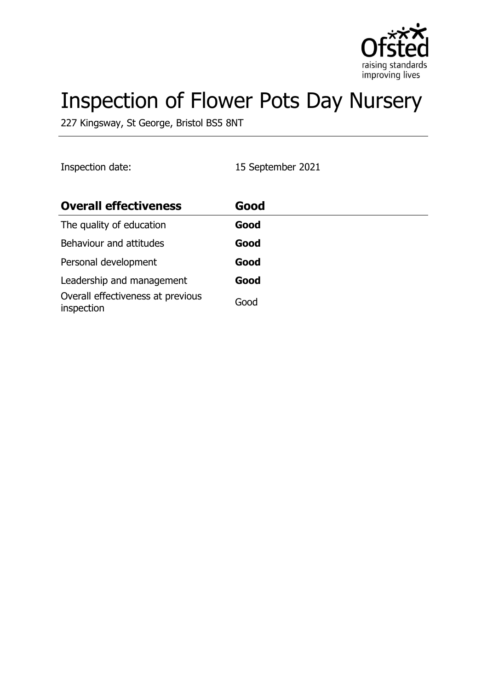

# Inspection of Flower Pots Day Nursery

227 Kingsway, St George, Bristol BS5 8NT

Inspection date: 15 September 2021

| <b>Overall effectiveness</b>                    | Good |
|-------------------------------------------------|------|
| The quality of education                        | Good |
| Behaviour and attitudes                         | Good |
| Personal development                            | Good |
| Leadership and management                       | Good |
| Overall effectiveness at previous<br>inspection | Good |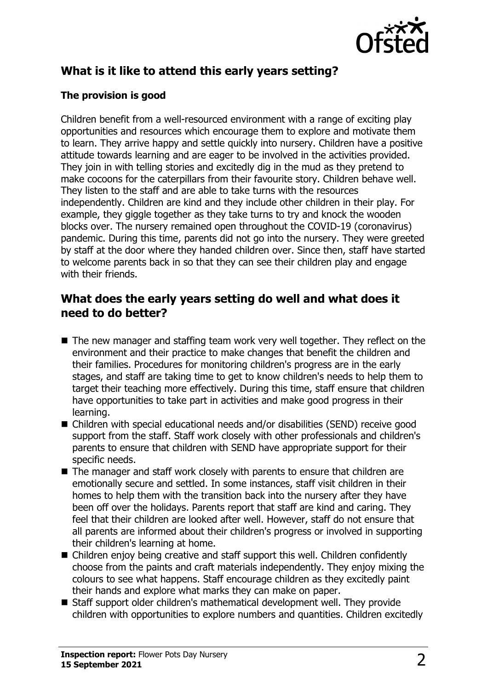

# **What is it like to attend this early years setting?**

## **The provision is good**

Children benefit from a well-resourced environment with a range of exciting play opportunities and resources which encourage them to explore and motivate them to learn. They arrive happy and settle quickly into nursery. Children have a positive attitude towards learning and are eager to be involved in the activities provided. They join in with telling stories and excitedly dig in the mud as they pretend to make cocoons for the caterpillars from their favourite story. Children behave well. They listen to the staff and are able to take turns with the resources independently. Children are kind and they include other children in their play. For example, they giggle together as they take turns to try and knock the wooden blocks over. The nursery remained open throughout the COVID-19 (coronavirus) pandemic. During this time, parents did not go into the nursery. They were greeted by staff at the door where they handed children over. Since then, staff have started to welcome parents back in so that they can see their children play and engage with their friends.

## **What does the early years setting do well and what does it need to do better?**

- $\blacksquare$  The new manager and staffing team work very well together. They reflect on the environment and their practice to make changes that benefit the children and their families. Procedures for monitoring children's progress are in the early stages, and staff are taking time to get to know children's needs to help them to target their teaching more effectively. During this time, staff ensure that children have opportunities to take part in activities and make good progress in their learning.
- $\blacksquare$  Children with special educational needs and/or disabilities (SEND) receive good support from the staff. Staff work closely with other professionals and children's parents to ensure that children with SEND have appropriate support for their specific needs.
- $\blacksquare$  The manager and staff work closely with parents to ensure that children are emotionally secure and settled. In some instances, staff visit children in their homes to help them with the transition back into the nursery after they have been off over the holidays. Parents report that staff are kind and caring. They feel that their children are looked after well. However, staff do not ensure that all parents are informed about their children's progress or involved in supporting their children's learning at home.
- $\blacksquare$  Children enjoy being creative and staff support this well. Children confidently choose from the paints and craft materials independently. They enjoy mixing the colours to see what happens. Staff encourage children as they excitedly paint their hands and explore what marks they can make on paper.
- Staff support older children's mathematical development well. They provide children with opportunities to explore numbers and quantities. Children excitedly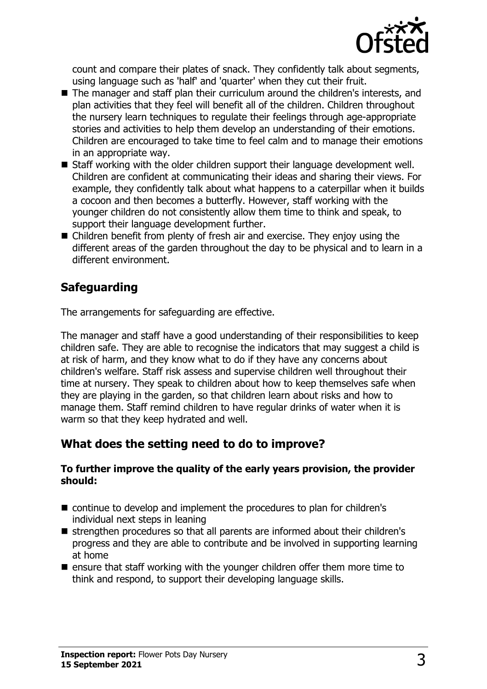

count and compare their plates of snack. They confidently talk about segments, using language such as 'half' and 'quarter' when they cut their fruit.

- The manager and staff plan their curriculum around the children's interests, and plan activities that they feel will benefit all of the children. Children throughout the nursery learn techniques to regulate their feelings through age-appropriate stories and activities to help them develop an understanding of their emotions. Children are encouraged to take time to feel calm and to manage their emotions in an appropriate way.
- Staff working with the older children support their language development well. Children are confident at communicating their ideas and sharing their views. For example, they confidently talk about what happens to a caterpillar when it builds a cocoon and then becomes a butterfly. However, staff working with the younger children do not consistently allow them time to think and speak, to support their language development further.
- $\blacksquare$  Children benefit from plenty of fresh air and exercise. They enjoy using the different areas of the garden throughout the day to be physical and to learn in a different environment.

## **Safeguarding**

The arrangements for safeguarding are effective.

The manager and staff have a good understanding of their responsibilities to keep children safe. They are able to recognise the indicators that may suggest a child is at risk of harm, and they know what to do if they have any concerns about children's welfare. Staff risk assess and supervise children well throughout their time at nursery. They speak to children about how to keep themselves safe when they are playing in the garden, so that children learn about risks and how to manage them. Staff remind children to have regular drinks of water when it is warm so that they keep hydrated and well.

## **What does the setting need to do to improve?**

#### **To further improve the quality of the early years provision, the provider should:**

- $\blacksquare$  continue to develop and implement the procedures to plan for children's individual next steps in leaning
- strengthen procedures so that all parents are informed about their children's progress and they are able to contribute and be involved in supporting learning at home
- $\blacksquare$  ensure that staff working with the younger children offer them more time to think and respond, to support their developing language skills.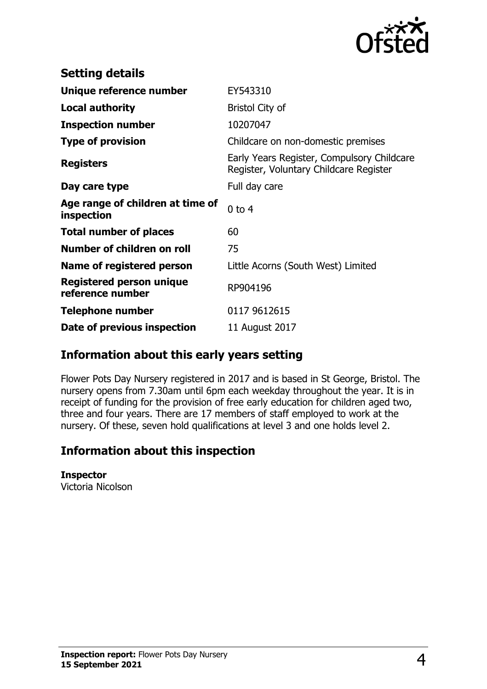

| <b>Setting details</b>                         |                                                                                      |
|------------------------------------------------|--------------------------------------------------------------------------------------|
| Unique reference number                        | EY543310                                                                             |
| <b>Local authority</b>                         | <b>Bristol City of</b>                                                               |
| <b>Inspection number</b>                       | 10207047                                                                             |
| <b>Type of provision</b>                       | Childcare on non-domestic premises                                                   |
| <b>Registers</b>                               | Early Years Register, Compulsory Childcare<br>Register, Voluntary Childcare Register |
| Day care type                                  | Full day care                                                                        |
| Age range of children at time of<br>inspection | $0$ to $4$                                                                           |
| <b>Total number of places</b>                  | 60                                                                                   |
| Number of children on roll                     | 75                                                                                   |
| Name of registered person                      | Little Acorns (South West) Limited                                                   |
| Registered person unique<br>reference number   | RP904196                                                                             |
| Telephone number                               | 0117 9612615                                                                         |
| Date of previous inspection                    | 11 August 2017                                                                       |

## **Information about this early years setting**

Flower Pots Day Nursery registered in 2017 and is based in St George, Bristol. The nursery opens from 7.30am until 6pm each weekday throughout the year. It is in receipt of funding for the provision of free early education for children aged two, three and four years. There are 17 members of staff employed to work at the nursery. Of these, seven hold qualifications at level 3 and one holds level 2.

## **Information about this inspection**

#### **Inspector**

Victoria Nicolson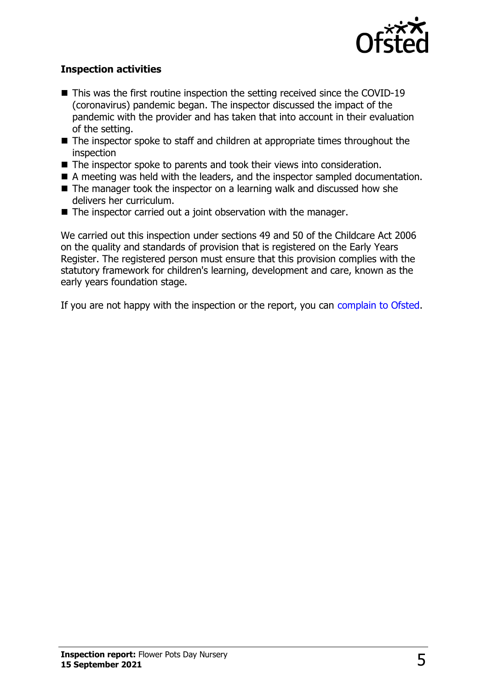

### **Inspection activities**

- $\blacksquare$  This was the first routine inspection the setting received since the COVID-19 (coronavirus) pandemic began. The inspector discussed the impact of the pandemic with the provider and has taken that into account in their evaluation of the setting.
- $\blacksquare$  The inspector spoke to staff and children at appropriate times throughout the inspection
- $\blacksquare$  The inspector spoke to parents and took their views into consideration.
- $\blacksquare$  A meeting was held with the leaders, and the inspector sampled documentation.
- $\blacksquare$  The manager took the inspector on a learning walk and discussed how she delivers her curriculum.
- $\blacksquare$  The inspector carried out a joint observation with the manager.

We carried out this inspection under sections 49 and 50 of the Childcare Act 2006 on the quality and standards of provision that is registered on the Early Years Register. The registered person must ensure that this provision complies with the statutory framework for children's learning, development and care, known as the early years foundation stage.

If you are not happy with the inspection or the report, you can [complain to Ofsted](http://www.gov.uk/complain-ofsted-report).